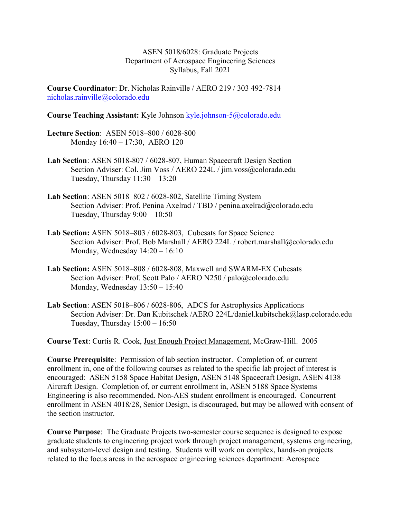ASEN 5018/6028: Graduate Projects Department of Aerospace Engineering Sciences Syllabus, Fall 2021

Course Coordinator: Dr. Nicholas Rainville / AERO 219 / 303 492-7814 nicholas.rainville@colorado.edu

#### Course Teaching Assistant: Kyle Johnson kyle.johnson-5@colorado.edu

- Lecture Section: ASEN 5018–800 / 6028-800 Monday 16:40 – 17:30, AERO 120
- Lab Section: ASEN 5018-807 / 6028-807, Human Spacecraft Design Section Section Adviser: Col. Jim Voss / AERO 224L / jim.voss@colorado.edu Tuesday, Thursday  $11:30 - 13:20$
- Lab Section: ASEN 5018–802 / 6028-802, Satellite Timing System Section Adviser: Prof. Penina Axelrad / TBD / penina.axelrad@colorado.edu Tuesday, Thursday 9:00 – 10:50
- Lab Section: ASEN 5018–803 / 6028-803, Cubesats for Space Science Section Adviser: Prof. Bob Marshall / AERO 224L / robert.marshall@colorado.edu Monday, Wednesday 14:20 – 16:10
- Lab Section: ASEN 5018–808 / 6028-808, Maxwell and SWARM-EX Cubesats Section Adviser: Prof. Scott Palo / AERO N250 / palo@colorado.edu Monday, Wednesday 13:50 – 15:40
- Lab Section: ASEN 5018–806 / 6028-806, ADCS for Astrophysics Applications Section Adviser: Dr. Dan Kubitschek /AERO 224L/daniel.kubitschek@lasp.colorado.edu Tuesday, Thursday  $15:00 - 16:50$

Course Text: Curtis R. Cook, Just Enough Project Management, McGraw-Hill. 2005

Course Prerequisite: Permission of lab section instructor. Completion of, or current enrollment in, one of the following courses as related to the specific lab project of interest is encouraged: ASEN 5158 Space Habitat Design, ASEN 5148 Spacecraft Design, ASEN 4138 Aircraft Design. Completion of, or current enrollment in, ASEN 5188 Space Systems Engineering is also recommended. Non-AES student enrollment is encouraged. Concurrent enrollment in ASEN 4018/28, Senior Design, is discouraged, but may be allowed with consent of the section instructor.

Course Purpose: The Graduate Projects two-semester course sequence is designed to expose graduate students to engineering project work through project management, systems engineering, and subsystem-level design and testing. Students will work on complex, hands-on projects related to the focus areas in the aerospace engineering sciences department: Aerospace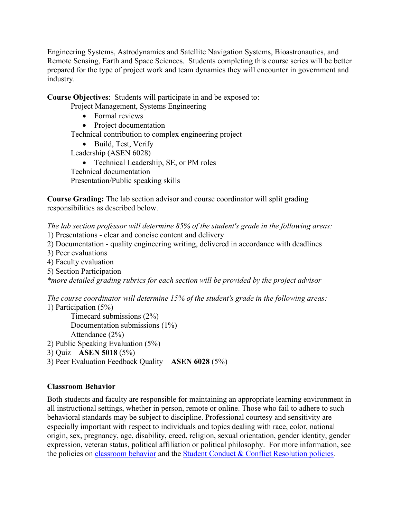Engineering Systems, Astrodynamics and Satellite Navigation Systems, Bioastronautics, and Remote Sensing, Earth and Space Sciences. Students completing this course series will be better prepared for the type of project work and team dynamics they will encounter in government and industry.

Course Objectives: Students will participate in and be exposed to:

Project Management, Systems Engineering

- Formal reviews
- Project documentation

Technical contribution to complex engineering project

- Build, Test, Verify
- Leadership (ASEN 6028)

• Technical Leadership, SE, or PM roles Technical documentation Presentation/Public speaking skills

Course Grading: The lab section advisor and course coordinator will split grading responsibilities as described below.

The lab section professor will determine 85% of the student's grade in the following areas:

- 1) Presentations clear and concise content and delivery
- 2) Documentation quality engineering writing, delivered in accordance with deadlines
- 3) Peer evaluations
- 4) Faculty evaluation
- 5) Section Participation

\*more detailed grading rubrics for each section will be provided by the project advisor

The course coordinator will determine 15% of the student's grade in the following areas: 1) Participation (5%)

 Timecard submissions (2%) Documentation submissions (1%) Attendance (2%) 2) Public Speaking Evaluation (5%)

- 3) Quiz ASEN 5018 (5%)
- 3) Peer Evaluation Feedback Quality ASEN 6028 (5%)

# Classroom Behavior

Both students and faculty are responsible for maintaining an appropriate learning environment in all instructional settings, whether in person, remote or online. Those who fail to adhere to such behavioral standards may be subject to discipline. Professional courtesy and sensitivity are especially important with respect to individuals and topics dealing with race, color, national origin, sex, pregnancy, age, disability, creed, religion, sexual orientation, gender identity, gender expression, veteran status, political affiliation or political philosophy. For more information, see the policies on classroom behavior and the Student Conduct & Conflict Resolution policies.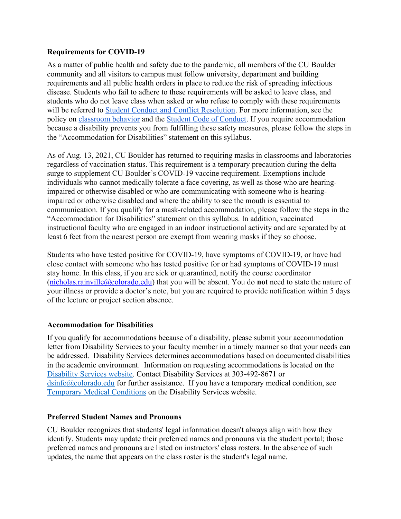### Requirements for COVID-19

As a matter of public health and safety due to the pandemic, all members of the CU Boulder community and all visitors to campus must follow university, department and building requirements and all public health orders in place to reduce the risk of spreading infectious disease. Students who fail to adhere to these requirements will be asked to leave class, and students who do not leave class when asked or who refuse to comply with these requirements will be referred to Student Conduct and Conflict Resolution. For more information, see the policy on classroom behavior and the Student Code of Conduct. If you require accommodation because a disability prevents you from fulfilling these safety measures, please follow the steps in the "Accommodation for Disabilities" statement on this syllabus.

As of Aug. 13, 2021, CU Boulder has returned to requiring masks in classrooms and laboratories regardless of vaccination status. This requirement is a temporary precaution during the delta surge to supplement CU Boulder's COVID-19 vaccine requirement. Exemptions include individuals who cannot medically tolerate a face covering, as well as those who are hearingimpaired or otherwise disabled or who are communicating with someone who is hearingimpaired or otherwise disabled and where the ability to see the mouth is essential to communication. If you qualify for a mask-related accommodation, please follow the steps in the "Accommodation for Disabilities" statement on this syllabus. In addition, vaccinated instructional faculty who are engaged in an indoor instructional activity and are separated by at least 6 feet from the nearest person are exempt from wearing masks if they so choose.

Students who have tested positive for COVID-19, have symptoms of COVID-19, or have had close contact with someone who has tested positive for or had symptoms of COVID-19 must stay home. In this class, if you are sick or quarantined, notify the course coordinator (nicholas.rainville@colorado.edu) that you will be absent. You do **not** need to state the nature of your illness or provide a doctor's note, but you are required to provide notification within 5 days of the lecture or project section absence.

# Accommodation for Disabilities

If you qualify for accommodations because of a disability, please submit your accommodation letter from Disability Services to your faculty member in a timely manner so that your needs can be addressed. Disability Services determines accommodations based on documented disabilities in the academic environment. Information on requesting accommodations is located on the Disability Services website. Contact Disability Services at 303-492-8671 or dsinfo@colorado.edu for further assistance. If you have a temporary medical condition, see Temporary Medical Conditions on the Disability Services website.

#### Preferred Student Names and Pronouns

CU Boulder recognizes that students' legal information doesn't always align with how they identify. Students may update their preferred names and pronouns via the student portal; those preferred names and pronouns are listed on instructors' class rosters. In the absence of such updates, the name that appears on the class roster is the student's legal name.